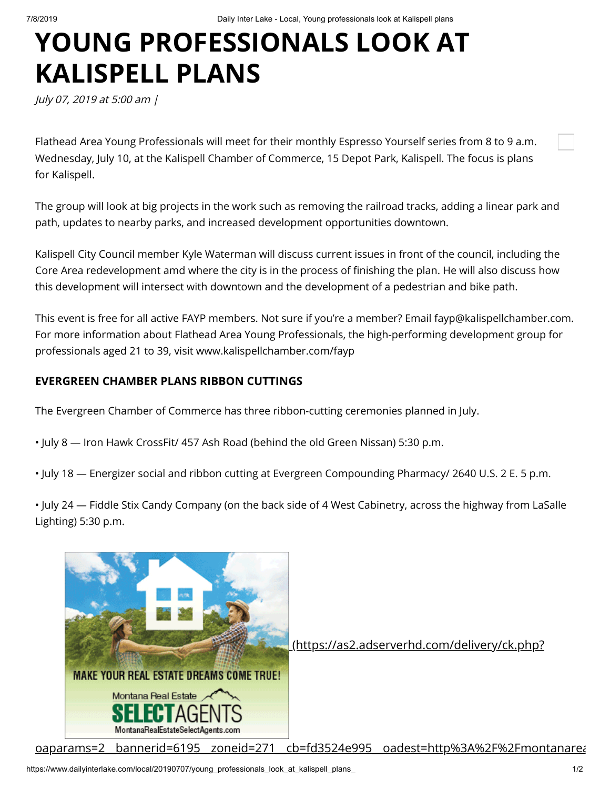## **YOUNG PROFESSIONALS LOOK AT KALISPELL PLANS**

July 07, 2019 at 5:00 am |

Flathead Area Young Professionals will meet for their monthly Espresso Yourself series from 8 to 9 a.m. Wednesday, July 10, at the Kalispell Chamber of Commerce, 15 Depot Park, Kalispell. The focus is plans for Kalispell.

The group will look at big projects in the work such as removing the railroad tracks, adding a linear park and path, updates to nearby parks, and increased development opportunities downtown.

Kalispell City Council member Kyle Waterman will discuss current issues in front of the council, including the Core Area redevelopment amd where the city is in the process of finishing the plan. He will also discuss how this development will intersect with downtown and the development of a pedestrian and bike path.

This event is free for all active FAYP members. Not sure if you're a member? Email fayp@kalispellchamber.com. For more information about Flathead Area Young Professionals, the high-performing development group for professionals aged 21 to 39, visit www.kalispellchamber.com/fayp

## **EVERGREEN CHAMBER PLANS RIBBON CUTTINGS**

The Evergreen Chamber of Commerce has three ribbon-cutting ceremonies planned in July.

- July 8 Iron Hawk CrossFit/ 457 Ash Road (behind the old Green Nissan) 5:30 p.m.
- July 18 Energizer social and ribbon cutting at Evergreen Compounding Pharmacy/ 2640 U.S. 2 E. 5 p.m.

• July 24 — Fiddle Stix Candy Company (on the back side of 4 West Cabinetry, across the highway from LaSalle Lighting) 5:30 p.m.